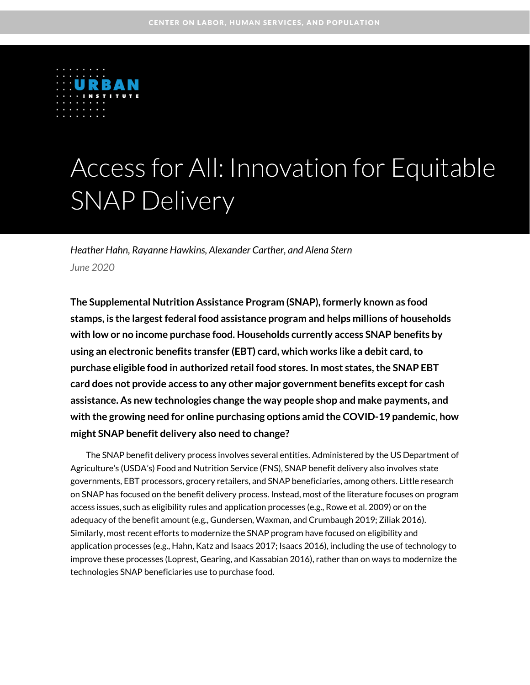

# Access for All: Innovation for Equitable SNAP Delivery

*Heather Hahn, Rayanne Hawkins, Alexander Carther, and Alena Stern June 2020*

**The Supplemental Nutrition Assistance Program (SNAP), formerly known as food stamps, is the largest federal food assistance program and helps millions of households with low or no income purchase food. Households currently access SNAP benefits by using an electronic benefits transfer (EBT) card, which works like a debit card,to purchase eligible food in authorized retail food stores. In most states, the SNAP EBT card does not provide access to any other major government benefits except for cash assistance. As new technologies change the way people shop and make payments, and with the growing need for online purchasing options amid the COVID-19 pandemic, how might SNAP benefit delivery also need to change?**

The SNAP benefit delivery process involves several entities. Administered by the US Department of Agriculture's (USDA's) Food and Nutrition Service (FNS), SNAP benefit delivery also involves state governments, EBT processors, grocery retailers, and SNAP beneficiaries, among others. Little research on SNAP has focused on the benefit delivery process. Instead, most of the literature focuses on program access issues, such as eligibility rules and application processes (e.g., Rowe et al. 2009) or on the adequacy of the benefit amount (e.g., Gundersen, Waxman, and Crumbaugh 2019; Ziliak 2016). Similarly, most recent efforts to modernize the SNAP program have focused on eligibility and application processes (e.g., Hahn, Katz and Isaacs 2017; Isaacs 2016), including the use of technology to improve these processes (Loprest, Gearing, and Kassabian 2016), rather than on ways to modernize the technologies SNAP beneficiaries use to purchase food.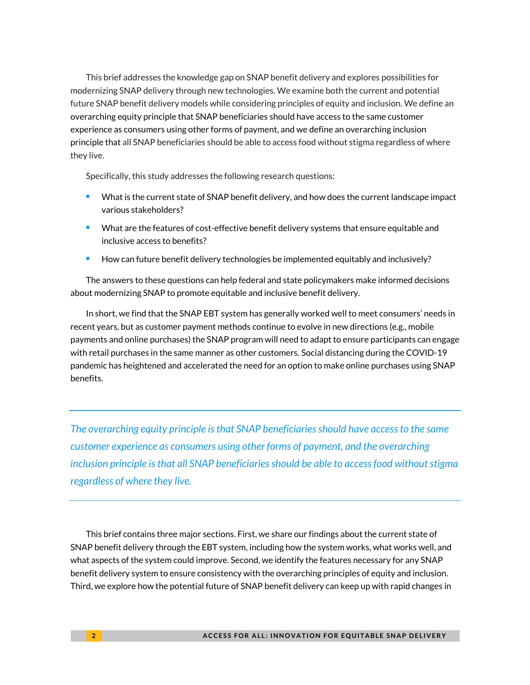This brief addresses the knowledge gap on SNAP benefit delivery and explores possibilities for modernizing SNAP delivery through new technologies. We examine both the current and potential future SNAP benefit delivery models while considering principles of equity and inclusion. We define an overarching equity principle that SNAP beneficiaries should have access to the same customer experience as consumers using other forms of payment, and we define an overarching inclusion principle that all SNAP beneficiaries should be able to access food without stigma regardless of where they live.

Specifically, this study addresses the following research questions:

- What is the current state of SNAP benefit delivery, and how does the current landscape impact various stakeholders?
- What are the features of cost-effective benefit delivery systems that ensure equitable and inclusive access to benefits?
- How can future benefit delivery technologies be implemented equitably and inclusively?

The answers to these questions can help federal and state policymakers make informed decisions about modernizing SNAP to promote equitable and inclusive benefit delivery.

In short, we find that the SNAP EBT system has generally worked well to meet consumers' needs in recent years, but as customer payment methods continue to evolve in new directions (e.g., mobile payments and online purchases) the SNAP program will need to adapt to ensure participants can engage with retail purchases in the same manner as other customers. Social distancing during the COVID-19 pandemic has heightened and accelerated the need for an option to make online purchases using SNAP benefits.

*The overarching equity principle is that SNAP beneficiaries should have access to the same customer experience as consumers using other forms of payment, and the overarching inclusion principle is that all SNAP beneficiaries should be able to access food without stigma regardless of where they live.*

This brief contains three major sections. First, we share our findings about the current state of SNAP benefit delivery through the EBT system, including how the system works, what works well, and what aspects of the system could improve. Second, we identify the features necessary for any SNAP benefit delivery system to ensure consistency with the overarching principles of equity and inclusion. Third, we explore how the potential future of SNAP benefit delivery can keep up with rapid changes in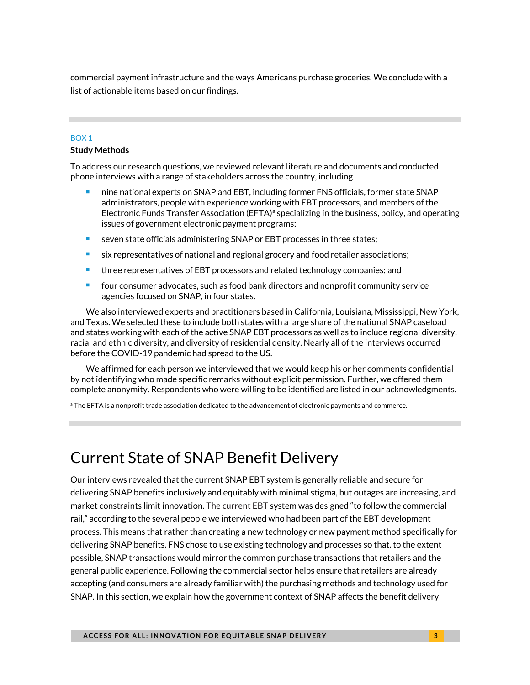commercial payment infrastructure and the ways Americans purchase groceries. We conclude with a list of actionable items based on our findings.

### BOX 1

#### **Study Methods**

To address our research questions, we reviewed relevant literature and documents and conducted phone interviews with a range of stakeholders across the country, including

- nine national experts on SNAP and EBT, including former FNS officials, former state SNAP administrators, people with experience working with EBT processors, and members of the Electronic Funds Transfer Association (EFTA)<sup>a</sup> specializing in the business, policy, and operating issues of government electronic payment programs;
- seven state officials administering SNAP or EBT processes in three states;
- six representatives of national and regional grocery and food retailer associations;
- three representatives of EBT processors and related technology companies; and
- four consumer advocates, such as food bank directors and nonprofit community service agencies focused on SNAP, in four states.

We also interviewed experts and practitioners based in California, Louisiana, Mississippi, New York, and Texas. We selected these to include both states with a large share of the national SNAP caseload and states working with each of the active SNAP EBT processors as well as to include regional diversity, racial and ethnic diversity, and diversity of residential density. Nearly all of the interviews occurred before the COVID-19 pandemic had spread to the US.

We affirmed for each person we interviewed that we would keep his or her comments confidential by not identifying who made specific remarks without explicit permission. Further, we offered them complete anonymity. Respondents who were willing to be identified are listed in our acknowledgments.

 $^{\circ}$  The EFTA is a nonprofit trade association dedicated to the advancement of electronic payments and commerce.

# Current State of SNAP Benefit Delivery

Our interviews revealed that the current SNAP EBT system is generally reliable and secure for delivering SNAP benefits inclusively and equitably with minimal stigma, but outages are increasing, and market constraints limit innovation. The current EBT system was designed "to follow the commercial rail," according to the several people we interviewed who had been part of the EBT development process. This means that rather than creating a new technology or new payment method specifically for delivering SNAP benefits, FNS chose to use existing technology and processes so that, to the extent possible, SNAP transactions would mirror the common purchase transactions that retailers and the general public experience. Following the commercial sector helps ensure that retailers are already accepting (and consumers are already familiar with) the purchasing methods and technology used for SNAP. In this section, we explain how the government context of SNAP affects the benefit delivery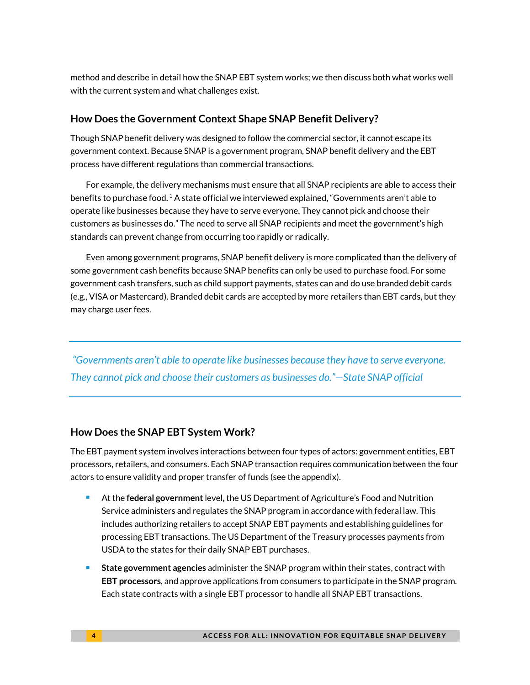method and describe in detail how the SNAP EBT system works; we then discuss both what works well with the current system and what challenges exist.

### **How Does the Government Context Shape SNAP Benefit Delivery?**

Though SNAP benefit delivery was designed to follow the commercial sector, it cannot escape its government context. Because SNAP is a government program, SNAP benefit delivery and the EBT process have different regulations than commercial transactions.

For example, the delivery mechanisms must ensure that all SNAP recipients are able to access their benefits to purchase food.  $^1$  A state official we interviewed explained, "Governments aren't able to operate like businesses because they have to serve everyone. They cannot pick and choose their customers as businesses do." The need to serve all SNAP recipients and meet the government's high standards can prevent change from occurring too rapidly or radically.

Even among government programs, SNAP benefit delivery is more complicated than the delivery of some government cash benefits because SNAP benefits can only be used to purchase food. For some government cash transfers, such as child support payments, states can and do use branded debit cards (e.g., VISA or Mastercard). Branded debit cards are accepted by more retailers than EBT cards, but they may charge user fees.

*"Governments aren't able to operate like businesses because they have to serve everyone. They cannot pick and choose their customers as businesses do."—State SNAP official*

### **How Does the SNAP EBT System Work?**

The EBT payment system involves interactions between four types of actors: government entities, EBT processors, retailers, and consumers. Each SNAP transaction requires communication between the four actors to ensure validity and proper transfer of funds (see the appendix).

- At the **federal government** level, the US Department of Agriculture's Food and Nutrition Service administers and regulates the SNAP program in accordance with federal law. This includes authorizing retailers to accept SNAP EBT payments and establishing guidelines for processing EBT transactions. The US Department of the Treasury processes payments from USDA to the states for their daily SNAP EBT purchases.
- **State government agencies** administer the SNAP program within their states, contract with **EBT processors**, and approve applications from consumers to participate in the SNAP program. Each state contracts with a single EBT processor to handle all SNAP EBT transactions.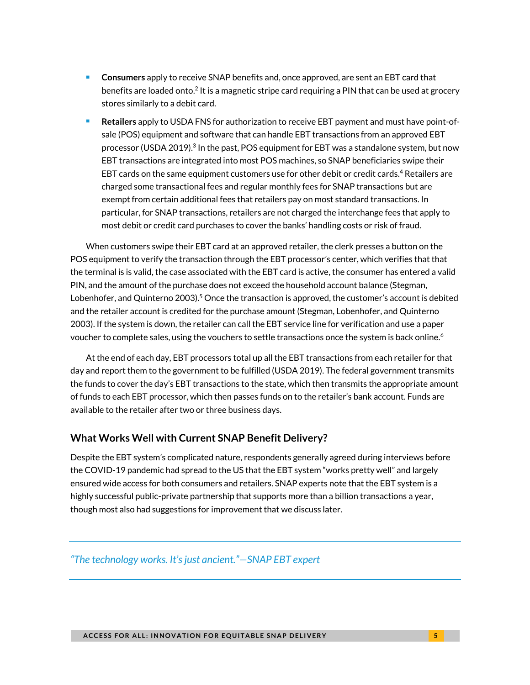- Consumers apply to receive SNAP benefits and, once approved, are sent an EBT card that benefits are loaded onto. $^{2}$  It is a magnetic stripe card requiring a PIN that can be used at grocery stores similarly to a debit card.
- <sup>◼</sup> **Retailers** apply to USDA FNS for authorization to receive EBT payment and must have point-ofsale (POS) equipment and software that can handle EBT transactions from an approved EBT processor (USDA 2019). $^3$  In the past, POS equipment for EBT was a standalone system, but now EBT transactions are integrated into most POS machines, so SNAP beneficiaries swipe their EBT cards on the same equipment customers use for other debit or credit cards.<sup>4</sup> Retailers are charged some transactional fees and regular monthly fees for SNAP transactions but are exempt from certain additional fees that retailers pay on most standard transactions. In particular, for SNAP transactions, retailers are not charged the interchange fees that apply to most debit or credit card purchases to cover the banks' handling costs or risk of fraud.

When customers swipe their EBT card at an approved retailer, the clerk presses a button on the POS equipment to verify the transaction through the EBT processor's center, which verifies that that the terminal is is valid, the case associated with the EBT card is active, the consumer has entered a valid PIN, and the amount of the purchase does not exceed the household account balance (Stegman, Lobenhofer, and Quinterno 2003). <sup>5</sup> Once the transaction is approved, the customer's account is debited and the retailer account is credited for the purchase amount (Stegman, Lobenhofer, and Quinterno 2003). If the system is down, the retailer can call the EBT service line for verification and use a paper voucher to complete sales, using the vouchers to settle transactions once the system is back online.<sup>6</sup>

At the end of each day, EBT processors total up all the EBT transactions from each retailer for that day and report them to the government to be fulfilled (USDA 2019). The federal government transmits the funds to cover the day's EBT transactions to the state, which then transmits the appropriate amount of funds to each EBT processor, which then passes funds on to the retailer's bank account. Funds are available to the retailer after two or three business days.

### **What Works Well with Current SNAP Benefit Delivery?**

Despite the EBT system's complicated nature, respondents generally agreed during interviews before the COVID-19 pandemic had spread to the US that the EBT system "works pretty well" and largely ensured wide access for both consumers and retailers. SNAP experts note that the EBT system is a highly successful public-private partnership that supports more than a billion transactions a year, though most also had suggestions for improvement that we discuss later.

### *"The technology works. It's just ancient."—SNAP EBT expert*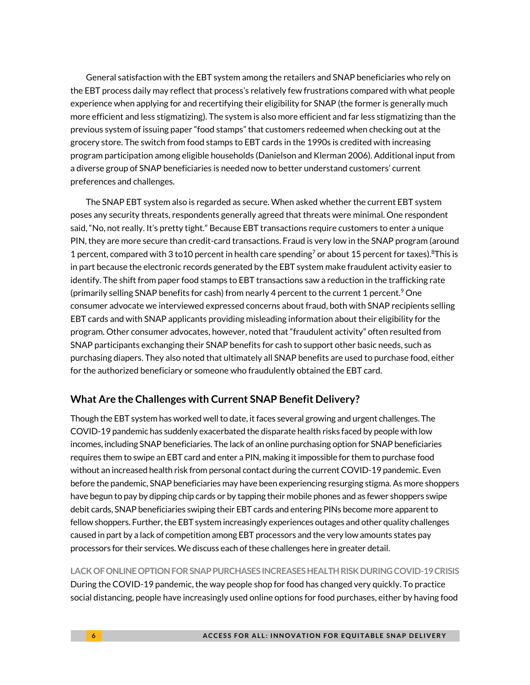General satisfaction with the EBT system among the retailers and SNAP beneficiaries who rely on the EBT process daily may reflect that process's relatively few frustrations compared with what people experience when applying for and recertifying their eligibility for SNAP (the former is generally much more efficient and less stigmatizing). The system is also more efficient and far less stigmatizing than the previous system of issuing paper "food stamps" that customers redeemed when checking out at the grocery store. The switch from food stamps to EBT cards in the 1990s is credited with increasing program participation among eligible households (Danielson and Klerman 2006). Additional input from a diverse group of SNAP beneficiaries is needed now to better understand customers' current preferences and challenges.

The SNAP EBT system also is regarded as secure. When asked whether the current EBT system poses any security threats, respondents generally agreed that threats were minimal. One respondent said, "No, not really. It's pretty tight." Because EBT transactions require customers to enter a unique PIN, they are more secure than credit-card transactions. Fraud is very low in the SNAP program (around 1 percent, compared with 3 to 10 percent in health care spending<sup>7</sup> or about 15 percent for taxes).<sup>8</sup>This is in part because the electronic records generated by the EBT system make fraudulent activity easier to identify. The shift from paper food stamps to EBT transactions saw a reduction in the trafficking rate (primarily selling SNAP benefits for cash) from nearly 4 percent to the current 1 percent.<sup>9</sup> One consumer advocate we interviewed expressed concerns about fraud, both with SNAP recipients selling EBT cards and with SNAP applicants providing misleading information about their eligibility for the program. Other consumer advocates, however, noted that "fraudulent activity" often resulted from SNAP participants exchanging their SNAP benefits for cash to support other basic needs, such as purchasing diapers. They also noted that ultimately all SNAP benefits are used to purchase food, either for the authorized beneficiary or someone who fraudulently obtained the EBT card.

### **What Are the Challenges with Current SNAP Benefit Delivery?**

Though the EBT system has worked well to date, it faces several growing and urgent challenges. The COVID-19 pandemic has suddenly exacerbated the disparate health risks faced by people with low incomes, including SNAP beneficiaries. The lack of an online purchasing option for SNAP beneficiaries requires them to swipe an EBT card and enter a PIN, making it impossible for them to purchase food without an increased health risk from personal contact during the current COVID-19 pandemic. Even before the pandemic, SNAP beneficiaries may have been experiencing resurging stigma. As more shoppers have begun to pay by dipping chip cards or by tapping their mobile phones and as fewer shoppers swipe debit cards, SNAP beneficiaries swiping their EBT cards and entering PINs become more apparent to fellow shoppers. Further, the EBT system increasingly experiences outages and other quality challenges caused in part by a lack of competition among EBT processors and the very low amounts states pay processors for their services. We discuss each of these challenges here in greater detail.

**LACK OF ONLINE OPTION FOR SNAP PURCHASES INCREASES HEALTH RISK DURING COVID-19 CRISIS** During the COVID-19 pandemic, the way people shop for food has changed very quickly. To practice social distancing, people have increasingly used online options for food purchases, either by having food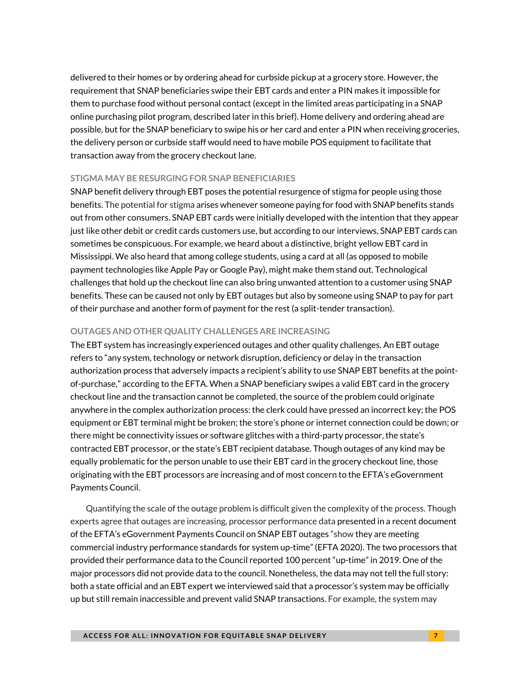delivered to their homes or by ordering ahead for curbside pickup at a grocery store. However, the requirement that SNAP beneficiaries swipe their EBT cards and enter a PIN makes it impossible for them to purchase food without personal contact (except in the limited areas participating in a SNAP online purchasing pilot program, described later in this brief). Home delivery and ordering ahead are possible, but for the SNAP beneficiary to swipe his or her card and enter a PIN when receiving groceries, the delivery person or curbside staff would need to have mobile POS equipment to facilitate that transaction away from the grocery checkout lane.

#### **STIGMA MAY BE RESURGING FOR SNAP BENEFICIARIES**

SNAP benefit delivery through EBT poses the potential resurgence of stigma for people using those benefits. The potential for stigma arises whenever someone paying for food with SNAP benefits stands out from other consumers. SNAP EBT cards were initially developed with the intention that they appear just like other debit or credit cards customers use, but according to our interviews, SNAP EBT cards can sometimes be conspicuous. For example, we heard about a distinctive, bright yellow EBT card in Mississippi. We also heard that among college students, using a card at all (as opposed to mobile payment technologies like Apple Pay or Google Pay), might make them stand out. Technological challenges that hold up the checkout line can also bring unwanted attention to a customer using SNAP benefits. These can be caused not only by EBT outages but also by someone using SNAP to pay for part of their purchase and another form of payment for the rest (a split-tender transaction).

#### **OUTAGES AND OTHER QUALITY CHALLENGES ARE INCREASING**

The EBT system has increasingly experienced outages and other quality challenges. An EBT outage refers to "any system, technology or network disruption, deficiency or delay in the transaction authorization process that adversely impacts a recipient's ability to use SNAP EBT benefits at the pointof-purchase," according to the EFTA. When a SNAP beneficiary swipes a valid EBT card in the grocery checkout line and the transaction cannot be completed, the source of the problem could originate anywhere in the complex authorization process: the clerk could have pressed an incorrect key; the POS equipment or EBT terminal might be broken; the store's phone or internet connection could be down; or there might be connectivity issues or software glitches with a third-party processor, the state's contracted EBT processor, or the state's EBT recipient database. Though outages of any kind may be equally problematic for the person unable to use their EBT card in the grocery checkout line, those originating with the EBT processors are increasing and of most concern to the EFTA's eGovernment Payments Council.

Quantifying the scale of the outage problem is difficult given the complexity of the process. Though experts agree that outages are increasing, processor performance data presented in a recent document of the EFTA's eGovernment Payments Council on SNAP EBT outages "show they are meeting commercial industry performance standards for system up-time" (EFTA 2020). The two processors that provided their performance data to the Council reported 100 percent "up-time" in 2019. One of the major processors did not provide data to the council. Nonetheless, the data may not tell the full story: both a state official and an EBT expert we interviewed said that a processor's system may be officially up but still remain inaccessible and prevent valid SNAP transactions. For example, the system may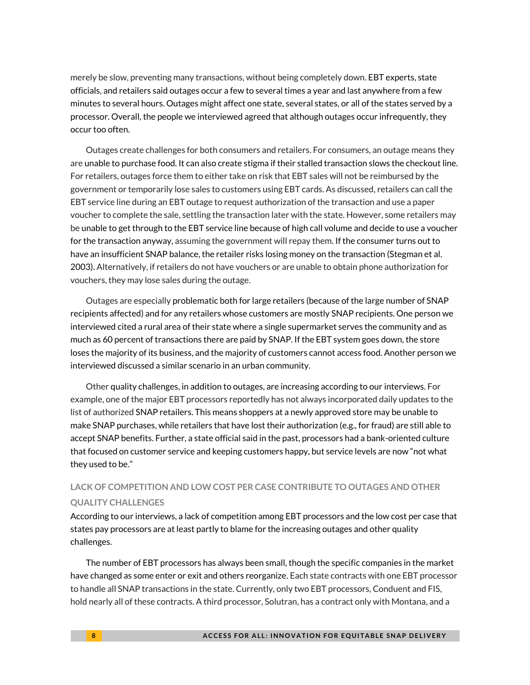merely be slow, preventing many transactions, without being completely down. EBT experts, state officials, and retailers said outages occur a few to several times a year and last anywhere from a few minutes to several hours. Outages might affect one state, several states, or all of the states served by a processor. Overall, the people we interviewed agreed that although outages occur infrequently, they occur too often.

Outages create challenges for both consumers and retailers. For consumers, an outage means they are unable to purchase food. It can also create stigma if their stalled transaction slows the checkout line. For retailers, outages force them to either take on risk that EBT sales will not be reimbursed by the government or temporarily lose sales to customers using EBT cards. As discussed, retailers can call the EBT service line during an EBT outage to request authorization of the transaction and use a paper voucher to complete the sale, settling the transaction later with the state. However, some retailers may be unable to get through to the EBT service line because of high call volume and decide to use a voucher for the transaction anyway, assuming the government will repay them. If the consumer turns out to have an insufficient SNAP balance, the retailer risks losing money on the transaction (Stegman et al. 2003). Alternatively, if retailers do not have vouchers or are unable to obtain phone authorization for vouchers, they may lose sales during the outage.

Outages are especially problematic both for large retailers (because of the large number of SNAP recipients affected) and for any retailers whose customers are mostly SNAP recipients. One person we interviewed cited a rural area of their state where a single supermarket serves the community and as much as 60 percent of transactions there are paid by SNAP. If the EBT system goes down, the store loses the majority of its business, and the majority of customers cannot access food. Another person we interviewed discussed a similar scenario in an urban community.

Other quality challenges, in addition to outages, are increasing according to our interviews. For example, one of the major EBT processors reportedly has not always incorporated daily updates to the list of authorized SNAP retailers. This means shoppers at a newly approved store may be unable to make SNAP purchases, while retailers that have lost their authorization (e.g., for fraud) are still able to accept SNAP benefits. Further, a state official said in the past, processors had a bank-oriented culture that focused on customer service and keeping customers happy, but service levels are now "not what they used to be."

# **LACK OF COMPETITION AND LOW COST PER CASE CONTRIBUTE TO OUTAGES AND OTHER QUALITY CHALLENGES**

According to our interviews, a lack of competition among EBT processors and the low cost per case that states pay processors are at least partly to blame for the increasing outages and other quality challenges.

The number of EBT processors has always been small, though the specific companies in the market have changed as some enter or exit and others reorganize. Each state contracts with one EBT processor to handle all SNAP transactions in the state. Currently, only two EBT processors, Conduent and FIS, hold nearly all of these contracts. A third processor, Solutran, has a contract only with Montana, and a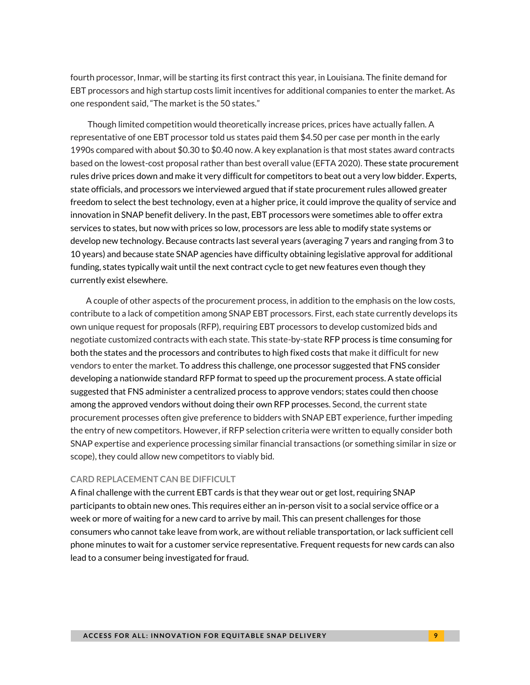fourth processor, Inmar, will be starting its first contract this year, in Louisiana. The finite demand for EBT processors and high startup costs limit incentives for additional companies to enter the market. As one respondent said, "The market is the 50 states."

Though limited competition would theoretically increase prices, prices have actually fallen. A representative of one EBT processor told us states paid them \$4.50 per case per month in the early 1990s compared with about \$0.30 to \$0.40 now. A key explanation is that most states award contracts based on the lowest-cost proposal rather than best overall value (EFTA 2020). These state procurement rules drive prices down and make it very difficult for competitors to beat out a very low bidder. Experts, state officials, and processors we interviewed argued that if state procurement rules allowed greater freedom to select the best technology, even at a higher price, it could improve the quality of service and innovation in SNAP benefit delivery. In the past, EBT processors were sometimes able to offer extra services to states, but now with prices so low, processors are less able to modify state systems or develop new technology. Because contracts last several years (averaging 7 years and ranging from 3 to 10 years) and because state SNAP agencies have difficulty obtaining legislative approval for additional funding, states typically wait until the next contract cycle to get new features even though they currently exist elsewhere.

A couple of other aspects of the procurement process, in addition to the emphasis on the low costs, contribute to a lack of competition among SNAP EBT processors. First, each state currently develops its own unique request for proposals (RFP), requiring EBT processors to develop customized bids and negotiate customized contracts with each state. This state-by-state RFP process is time consuming for both the states and the processors and contributes to high fixed costs that make it difficult for new vendors to enter the market. To address this challenge, one processor suggested that FNS consider developing a nationwide standard RFP format to speed up the procurement process. A state official suggested that FNS administer a centralized process to approve vendors; states could then choose among the approved vendors without doing their own RFP processes. Second, the current state procurement processes often give preference to bidders with SNAP EBT experience, further impeding the entry of new competitors. However, if RFP selection criteria were written to equally consider both SNAP expertise and experience processing similar financial transactions (or something similar in size or scope), they could allow new competitors to viably bid.

#### **CARD REPLACEMENT CAN BE DIFFICULT**

A final challenge with the current EBT cards is that they wear out or get lost, requiring SNAP participants to obtain new ones. This requires either an in-person visit to a social service office or a week or more of waiting for a new card to arrive by mail. This can present challenges for those consumers who cannot take leave from work, are without reliable transportation, or lack sufficient cell phone minutes to wait for a customer service representative. Frequent requests for new cards can also lead to a consumer being investigated for fraud.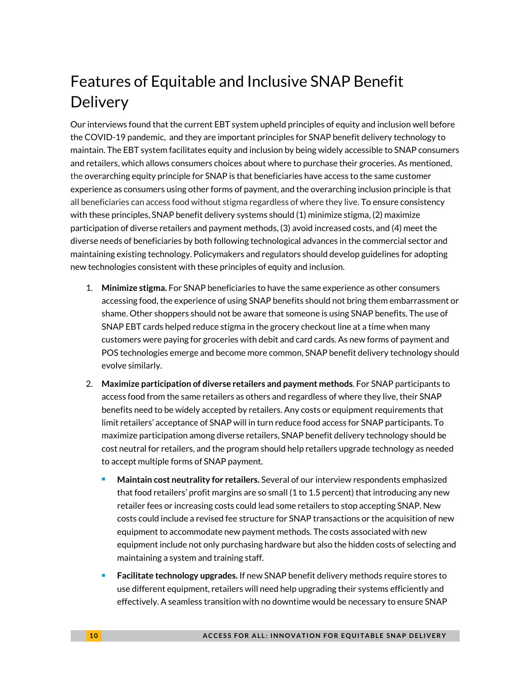# Features of Equitable and Inclusive SNAP Benefit **Delivery**

Our interviews found that the current EBT system upheld principles of equity and inclusion well before the COVID-19 pandemic, and they are important principles for SNAP benefit delivery technology to maintain. The EBT system facilitates equity and inclusion by being widely accessible to SNAP consumers and retailers, which allows consumers choices about where to purchase their groceries. As mentioned, the overarching equity principle for SNAP is that beneficiaries have access to the same customer experience as consumers using other forms of payment, and the overarching inclusion principle is that all beneficiaries can access food without stigma regardless of where they live. To ensure consistency with these principles, SNAP benefit delivery systems should (1) minimize stigma, (2) maximize participation of diverse retailers and payment methods, (3) avoid increased costs, and (4) meet the diverse needs of beneficiaries by both following technological advances in the commercial sector and maintaining existing technology. Policymakers and regulators should develop guidelines for adopting new technologies consistent with these principles of equity and inclusion.

- 1. **Minimize stigma.** For SNAP beneficiaries to have the same experience as other consumers accessing food, the experience of using SNAP benefits should not bring them embarrassment or shame. Other shoppers should not be aware that someone is using SNAP benefits. The use of SNAP EBT cards helped reduce stigma in the grocery checkout line at a time when many customers were paying for groceries with debit and card cards. As new forms of payment and POS technologies emerge and become more common, SNAP benefit delivery technology should evolve similarly.
- 2. **Maximize participation of diverse retailers and payment methods**. For SNAP participants to access food from the same retailers as others and regardless of where they live, their SNAP benefits need to be widely accepted by retailers. Any costs or equipment requirements that limit retailers' acceptance of SNAP will in turn reduce food access for SNAP participants. To maximize participation among diverse retailers, SNAP benefit delivery technology should be cost neutral for retailers, and the program should help retailers upgrade technology as needed to accept multiple forms of SNAP payment.
	- <sup>◼</sup> **Maintain cost neutrality for retailers.** Several of our interview respondents emphasized that food retailers' profit margins are so small (1 to 1.5 percent) that introducing any new retailer fees or increasing costs could lead some retailers to stop accepting SNAP. New costs could include a revised fee structure for SNAP transactions or the acquisition of new equipment to accommodate new payment methods. The costs associated with new equipment include not only purchasing hardware but also the hidden costs of selecting and maintaining a system and training staff.
	- <sup>◼</sup> **Facilitate technology upgrades.** If new SNAP benefit delivery methods require stores to use different equipment, retailers will need help upgrading their systems efficiently and effectively. A seamless transition with no downtime would be necessary to ensure SNAP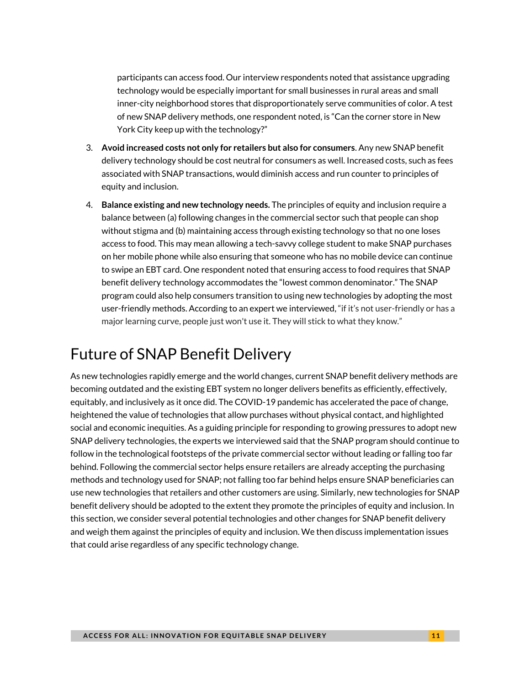participants can access food. Our interview respondents noted that assistance upgrading technology would be especially important for small businesses in rural areas and small inner-city neighborhood stores that disproportionately serve communities of color. A test of new SNAP delivery methods, one respondent noted, is "Can the corner store in New York City keep up with the technology?"

- 3. **Avoid increased costs not only for retailers but also for consumers**. Any new SNAP benefit delivery technology should be cost neutral for consumers as well. Increased costs, such as fees associated with SNAP transactions, would diminish access and run counter to principles of equity and inclusion.
- 4. **Balance existing and new technology needs.** The principles of equity and inclusion require a balance between (a) following changes in the commercial sector such that people can shop without stigma and (b) maintaining access through existing technology so that no one loses access to food. This may mean allowing a tech-savvy college student to make SNAP purchases on her mobile phone while also ensuring that someone who has no mobile device can continue to swipe an EBT card. One respondent noted that ensuring access to food requires that SNAP benefit delivery technology accommodates the "lowest common denominator." The SNAP program could also help consumers transition to using new technologies by adopting the most user-friendly methods. According to an expert we interviewed, "if it's not user-friendly or has a major learning curve, people just won't use it. They will stick to what they know."

# Future of SNAP Benefit Delivery

As new technologies rapidly emerge and the world changes, current SNAP benefit delivery methods are becoming outdated and the existing EBT system no longer delivers benefits as efficiently, effectively, equitably, and inclusively as it once did. The COVID-19 pandemic has accelerated the pace of change, heightened the value of technologies that allow purchases without physical contact, and highlighted social and economic inequities. As a guiding principle for responding to growing pressures to adopt new SNAP delivery technologies, the experts we interviewed said that the SNAP program should continue to follow in the technological footsteps of the private commercial sector without leading or falling too far behind. Following the commercial sector helps ensure retailers are already accepting the purchasing methods and technology used for SNAP; not falling too far behind helps ensure SNAP beneficiaries can use new technologies that retailers and other customers are using. Similarly, new technologies for SNAP benefit delivery should be adopted to the extent they promote the principles of equity and inclusion. In this section, we consider several potential technologies and other changes for SNAP benefit delivery and weigh them against the principles of equity and inclusion. We then discuss implementation issues that could arise regardless of any specific technology change.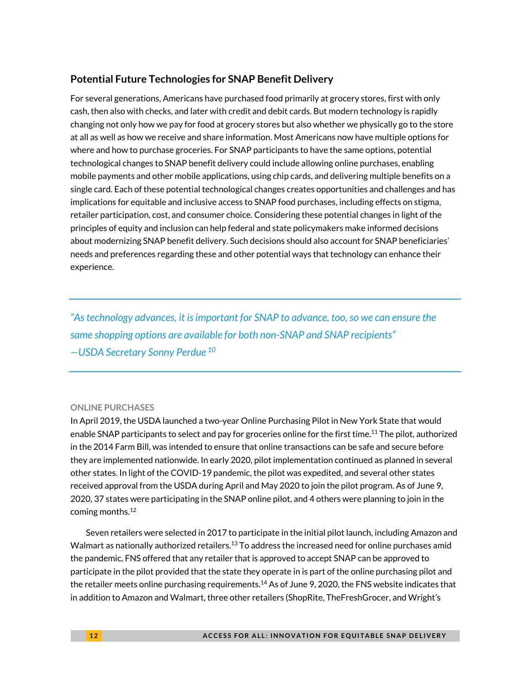## **Potential Future Technologies for SNAP Benefit Delivery**

For several generations, Americans have purchased food primarily at grocery stores, first with only cash, then also with checks, and later with credit and debit cards. But modern technology is rapidly changing not only how we pay for food at grocery stores but also whether we physically go to the store at all as well as how we receive and share information. Most Americans now have multiple options for where and how to purchase groceries. For SNAP participants to have the same options, potential technological changes to SNAP benefit delivery could include allowing online purchases, enabling mobile payments and other mobile applications, using chip cards, and delivering multiple benefits on a single card. Each of these potential technological changes creates opportunities and challenges and has implications for equitable and inclusive access to SNAP food purchases, including effects on stigma, retailer participation, cost, and consumer choice. Considering these potential changes in light of the principles of equity and inclusion can help federal and state policymakers make informed decisions about modernizing SNAP benefit delivery. Such decisions should also account for SNAP beneficiaries' needs and preferences regarding these and other potential ways that technology can enhance their experience.

*"As technology advances, it is important for SNAP to advance, too, so we can ensure the same shopping options are available for both non-SNAP and SNAP recipients" —USDA Secretary Sonny Perdue <sup>10</sup>*

### **ONLINE PURCHASES**

In April 2019, the USDA launched a two-year Online Purchasing Pilot in New York State that would enable SNAP participants to select and pay for groceries online for the first time.<sup>11</sup> The pilot, authorized in the 2014 Farm Bill, was intended to ensure that online transactions can be safe and secure before they are implemented nationwide. In early 2020, pilot implementation continued as planned in several other states. In light of the COVID-19 pandemic, the pilot was expedited, and several other states received approval from the USDA during April and May 2020 to join the pilot program. As of June 9, 2020, 37 states were participating in the SNAP online pilot, and 4 others were planning to join in the coming months.<sup>12</sup>

Seven retailers were selected in 2017 to participate in the initial pilot launch, including Amazon and Walmart as nationally authorized retailers.<sup>13</sup> To address the increased need for online purchases amid the pandemic, FNS offered that any retailer that is approved to accept SNAP can be approved to participate in the pilot provided that the state they operate in is part of the online purchasing pilot and the retailer meets online purchasing requirements.<sup>14</sup> As of June 9, 2020, the FNS website indicates that in addition to Amazon and Walmart, three other retailers (ShopRite, TheFreshGrocer, and Wright's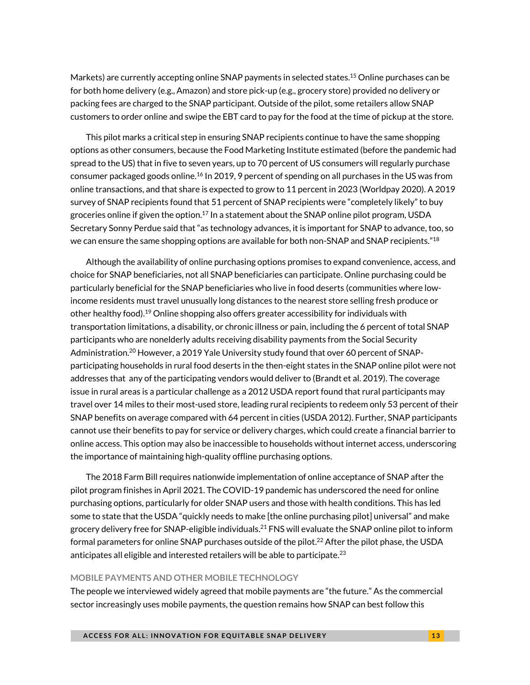Markets) are currently accepting online SNAP payments in selected states. <sup>15</sup> Online purchases can be for both home delivery (e.g., Amazon) and store pick-up (e.g., grocery store) provided no delivery or packing fees are charged to the SNAP participant. Outside of the pilot, some retailers allow SNAP customers to order online and swipe the EBT card to pay for the food at the time of pickup at the store.

This pilot marks a critical step in ensuring SNAP recipients continue to have the same shopping options as other consumers, because the Food Marketing Institute estimated (before the pandemic had spread to the US) that in five to seven years, up to 70 percent of US consumers will regularly purchase consumer packaged goods online.<sup>16</sup> In 2019, 9 percent of spending on all purchases in the US was from online transactions, and that share is expected to grow to 11 percent in 2023 (Worldpay 2020). A 2019 survey of SNAP recipients found that 51 percent of SNAP recipients were "completely likely" to buy groceries online if given the option.<sup>17</sup> In a statement about the SNAP online pilot program, USDA Secretary Sonny Perdue said that "as technology advances, it is important for SNAP to advance, too, so we can ensure the same shopping options are available for both non-SNAP and SNAP recipients." $^{18}$ 

Although the availability of online purchasing options promises to expand convenience, access, and choice for SNAP beneficiaries, not all SNAP beneficiaries can participate. Online purchasing could be particularly beneficial for the SNAP beneficiaries who live in food deserts (communities where lowincome residents must travel unusually long distances to the nearest store selling fresh produce or other healthy food). <sup>19</sup> Online shopping also offers greater accessibility for individuals with transportation limitations, a disability, or chronic illness or pain, including the 6 percent of total SNAP participants who are nonelderly adults receiving disability payments from the Social Security Administration.<sup>20</sup> However, a 2019 Yale University study found that over 60 percent of SNAPparticipating households in rural food deserts in the then-eight states in the SNAP online pilot were not addresses that any of the participating vendors would deliver to (Brandt et al. 2019). The coverage issue in rural areas is a particular challenge as a 2012 USDA report found that rural participants may travel over 14 miles to their most-used store, leading rural recipients to redeem only 53 percent of their SNAP benefits on average compared with 64 percent in cities (USDA 2012). Further, SNAP participants cannot use their benefits to pay for service or delivery charges, which could create a financial barrier to online access. This option may also be inaccessible to households without internet access, underscoring the importance of maintaining high-quality offline purchasing options.

The 2018 Farm Bill requires nationwide implementation of online acceptance of SNAP after the pilot program finishes in April 2021. The COVID-19 pandemic has underscored the need for online purchasing options, particularly for older SNAP users and those with health conditions. This has led some to state that the USDA "quickly needs to make [the online purchasing pilot] universal" and make grocery delivery free for SNAP-eligible individuals.<sup>21</sup> FNS will evaluate the SNAP online pilot to inform formal parameters for online SNAP purchases outside of the pilot. <sup>22</sup> After the pilot phase, the USDA anticipates all eligible and interested retailers will be able to participate. $^{23}$ 

#### **MOBILE PAYMENTS AND OTHER MOBILE TECHNOLOGY**

The people we interviewed widely agreed that mobile payments are "the future." As the commercial sector increasingly uses mobile payments, the question remains how SNAP can best follow this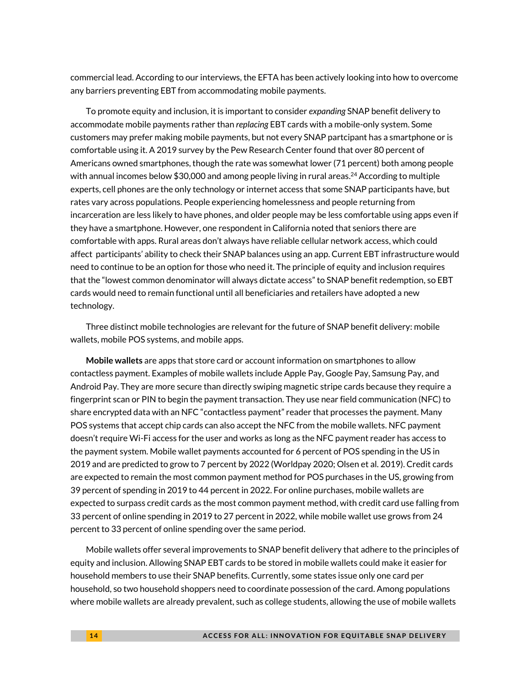commercial lead. According to our interviews, the EFTA has been actively looking into how to overcome any barriers preventing EBT from accommodating mobile payments.

To promote equity and inclusion, it is important to consider *expanding* SNAP benefit delivery to accommodate mobile payments rather than *replacing* EBT cards with a mobile-only system. Some customers may prefer making mobile payments, but not every SNAP partcipant has a smartphone or is comfortable using it. A 2019 survey by the Pew Research Center found that over 80 percent of Americans owned smartphones, though the rate was somewhat lower (71 percent) both among people with annual incomes below \$30,000 and among people living in rural areas. $^{24}$  According to multiple experts, cell phones are the only technology or internet access that some SNAP participants have, but rates vary across populations. People experiencing homelessness and people returning from incarceration are less likely to have phones, and older people may be less comfortable using apps even if they have a smartphone. However, one respondent in California noted that seniors there are comfortable with apps. Rural areas don't always have reliable cellular network access, which could affect participants' ability to check their SNAP balances using an app. Current EBT infrastructure would need to continue to be an option for those who need it. The principle of equity and inclusion requires that the "lowest common denominator will always dictate access" to SNAP benefit redemption, so EBT cards would need to remain functional until all beneficiaries and retailers have adopted a new technology.

Three distinct mobile technologies are relevant for the future of SNAP benefit delivery: mobile wallets, mobile POS systems, and mobile apps.

**Mobile wallets** are apps that store card or account information on smartphones to allow contactless payment. Examples of mobile wallets include Apple Pay, Google Pay, Samsung Pay, and Android Pay. They are more secure than directly swiping magnetic stripe cards because they require a fingerprint scan or PIN to begin the payment transaction. They use near field communication (NFC) to share encrypted data with an NFC "contactless payment" reader that processes the payment. Many POS systems that accept chip cards can also accept the NFC from the mobile wallets. NFC payment doesn't require Wi-Fi access for the user and works as long as the NFC payment reader has access to the payment system. Mobile wallet payments accounted for 6 percent of POS spending in the US in 2019 and are predicted to grow to 7 percent by 2022 (Worldpay 2020; Olsen et al. 2019). Credit cards are expected to remain the most common payment method for POS purchases in the US, growing from 39 percent of spending in 2019 to 44 percent in 2022. For online purchases, mobile wallets are expected to surpass credit cards as the most common payment method, with credit card use falling from 33 percent of online spending in 2019 to 27 percent in 2022, while mobile wallet use grows from 24 percent to 33 percent of online spending over the same period.

Mobile wallets offer several improvements to SNAP benefit delivery that adhere to the principles of equity and inclusion. Allowing SNAP EBT cards to be stored in mobile wallets could make it easier for household members to use their SNAP benefits. Currently, some states issue only one card per household, so two household shoppers need to coordinate possession of the card. Among populations where mobile wallets are already prevalent, such as college students, allowing the use of mobile wallets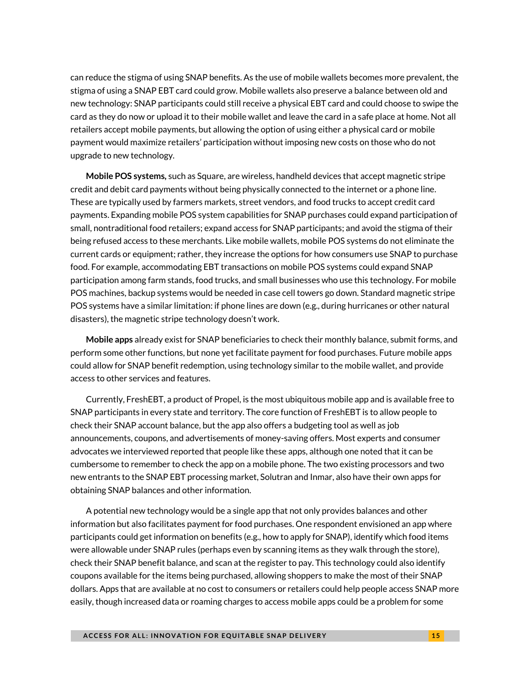can reduce the stigma of using SNAP benefits. As the use of mobile wallets becomes more prevalent, the stigma of using a SNAP EBT card could grow. Mobile wallets also preserve a balance between old and new technology: SNAP participants could still receive a physical EBT card and could choose to swipe the card as they do now or upload it to their mobile wallet and leave the card in a safe place at home. Not all retailers accept mobile payments, but allowing the option of using either a physical card or mobile payment would maximize retailers' participation without imposing new costs on those who do not upgrade to new technology.

**Mobile POS systems***,* such as Square, are wireless, handheld devices that accept magnetic stripe credit and debit card payments without being physically connected to the internet or a phone line. These are typically used by farmers markets, street vendors, and food trucks to accept credit card payments. Expanding mobile POS system capabilities for SNAP purchases could expand participation of small, nontraditional food retailers; expand access for SNAP participants; and avoid the stigma of their being refused access to these merchants. Like mobile wallets, mobile POS systems do not eliminate the current cards or equipment; rather, they increase the options for how consumers use SNAP to purchase food. For example, accommodating EBT transactions on mobile POS systems could expand SNAP participation among farm stands, food trucks, and small businesses who use this technology. For mobile POS machines, backup systems would be needed in case cell towers go down. Standard magnetic stripe POS systems have a similar limitation: if phone lines are down (e.g., during hurricanes or other natural disasters), the magnetic stripe technology doesn't work.

**Mobile apps** already exist for SNAP beneficiaries to check their monthly balance, submit forms, and perform some other functions, but none yet facilitate payment for food purchases. Future mobile apps could allow for SNAP benefit redemption, using technology similar to the mobile wallet, and provide access to other services and features.

Currently, FreshEBT, a product of Propel, is the most ubiquitous mobile app and is available free to SNAP participants in every state and territory. The core function of FreshEBT is to allow people to check their SNAP account balance, but the app also offers a budgeting tool as well as job announcements, coupons, and advertisements of money-saving offers. Most experts and consumer advocates we interviewed reported that people like these apps, although one noted that it can be cumbersome to remember to check the app on a mobile phone. The two existing processors and two new entrants to the SNAP EBT processing market, Solutran and Inmar, also have their own apps for obtaining SNAP balances and other information.

A potential new technology would be a single app that not only provides balances and other information but also facilitates payment for food purchases. One respondent envisioned an app where participants could get information on benefits (e.g., how to apply for SNAP), identify which food items were allowable under SNAP rules (perhaps even by scanning items as they walk through the store), check their SNAP benefit balance, and scan at the register to pay. This technology could also identify coupons available for the items being purchased, allowing shoppers to make the most of their SNAP dollars. Apps that are available at no cost to consumers or retailers could help people access SNAP more easily, though increased data or roaming charges to access mobile apps could be a problem for some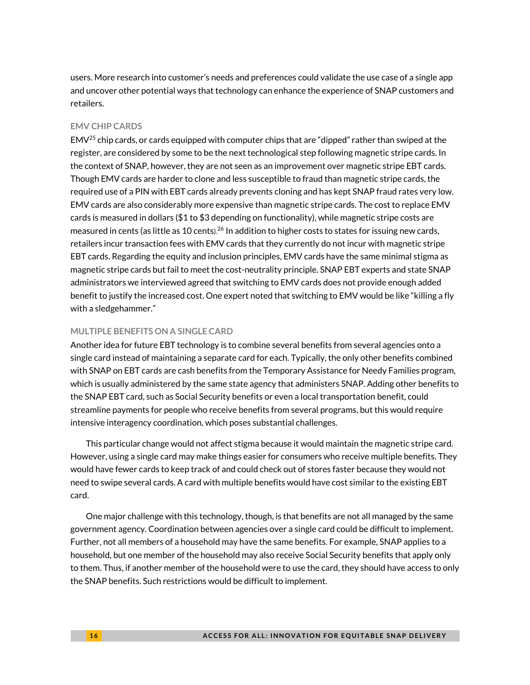users. More research into customer's needs and preferences could validate the use case of a single app and uncover other potential ways that technology can enhance the experience of SNAP customers and retailers.

#### **EMV CHIP CARDS**

EMV<sup>25</sup> chip cards, or cards equipped with computer chips that are "dipped" rather than swiped at the register, are considered by some to be the next technological step following magnetic stripe cards. In the context of SNAP, however, they are not seen as an improvement over magnetic stripe EBT cards. Though EMV cards are harder to clone and less susceptible to fraud than magnetic stripe cards, the required use of a PIN with EBT cards already prevents cloning and has kept SNAP fraud rates very low. EMV cards are also considerably more expensive than magnetic stripe cards. The cost to replace EMV cards is measured in dollars (\$1 to \$3 depending on functionality), while magnetic stripe costs are measured in cents (as little as 10 cents).<sup>26</sup> In addition to higher costs to states for issuing new cards, retailers incur transaction fees with EMV cards that they currently do not incur with magnetic stripe EBT cards. Regarding the equity and inclusion principles, EMV cards have the same minimal stigma as magnetic stripe cards but fail to meet the cost-neutrality principle. SNAP EBT experts and state SNAP administrators we interviewed agreed that switching to EMV cards does not provide enough added benefit to justify the increased cost. One expert noted that switching to EMV would be like "killing a fly with a sledgehammer."

#### **MULTIPLE BENEFITS ON A SINGLE CARD**

Another idea for future EBT technology is to combine several benefits from several agencies onto a single card instead of maintaining a separate card for each. Typically, the only other benefits combined with SNAP on EBT cards are cash benefits from the Temporary Assistance for Needy Families program, which is usually administered by the same state agency that administers SNAP. Adding other benefits to the SNAP EBT card, such as Social Security benefits or even a local transportation benefit, could streamline payments for people who receive benefits from several programs, but this would require intensive interagency coordination, which poses substantial challenges.

This particular change would not affect stigma because it would maintain the magnetic stripe card. However, using a single card may make things easier for consumers who receive multiple benefits. They would have fewer cards to keep track of and could check out of stores faster because they would not need to swipe several cards. A card with multiple benefits would have cost similar to the existing EBT card.

One major challenge with this technology, though, is that benefits are not all managed by the same government agency. Coordination between agencies over a single card could be difficult to implement. Further, not all members of a household may have the same benefits. For example, SNAP applies to a household, but one member of the household may also receive Social Security benefits that apply only to them. Thus, if another member of the household were to use the card, they should have access to only the SNAP benefits. Such restrictions would be difficult to implement.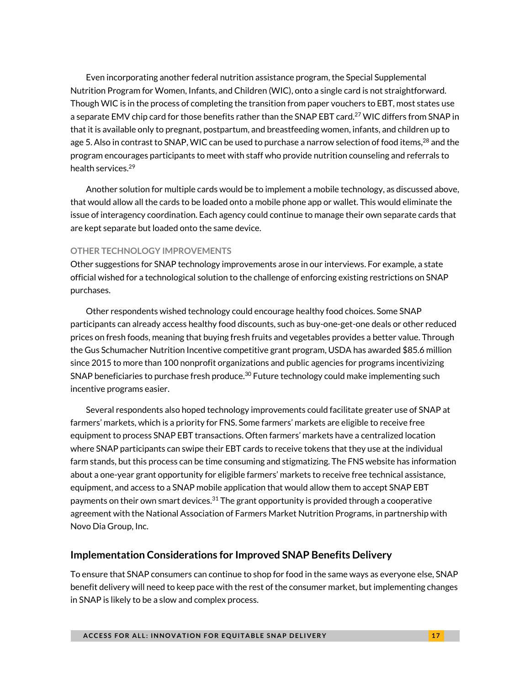Even incorporating another federal nutrition assistance program, the Special Supplemental Nutrition Program for Women, Infants, and Children (WIC), onto a single card is not straightforward. Though WIC is in the process of completing the transition from paper vouchers to EBT, most states use a separate EMV chip card for those benefits rather than the SNAP EBT card.<sup>27</sup> WIC differs from SNAP in that it is available only to pregnant, postpartum, and breastfeeding women, infants, and children up to age 5. Also in contrast to SNAP, WIC can be used to purchase a narrow selection of food items,<sup>28</sup> and the program encourages participants to meet with staff who provide nutrition counseling and referrals to health services. 29

Another solution for multiple cards would be to implement a mobile technology, as discussed above, that would allow all the cards to be loaded onto a mobile phone app or wallet. This would eliminate the issue of interagency coordination. Each agency could continue to manage their own separate cards that are kept separate but loaded onto the same device.

### **OTHER TECHNOLOGY IMPROVEMENTS**

Other suggestions for SNAP technology improvements arose in our interviews. For example, a state official wished for a technological solution to the challenge of enforcing existing restrictions on SNAP purchases.

Other respondents wished technology could encourage healthy food choices. Some SNAP participants can already access healthy food discounts, such as buy-one-get-one deals or other reduced prices on fresh foods, meaning that buying fresh fruits and vegetables provides a better value. Through the Gus Schumacher Nutrition Incentive competitive grant program, USDA has awarded \$85.6 million since 2015 to more than 100 nonprofit organizations and public agencies for programs incentivizing SNAP beneficiaries to purchase fresh produce.<sup>30</sup> Future technology could make implementing such incentive programs easier.

Several respondents also hoped technology improvements could facilitate greater use of SNAP at farmers' markets, which is a priority for FNS. Some farmers' markets are eligible to receive free equipment to process SNAP EBT transactions. Often farmers' markets have a centralized location where SNAP participants can swipe their EBT cards to receive tokens that they use at the individual farm stands, but this process can be time consuming and stigmatizing. The FNS website has information about a one-year grant opportunity for eligible farmers' markets to receive free technical assistance, equipment, and access to a SNAP mobile application that would allow them to accept SNAP EBT payments on their own smart devices.<sup>31</sup> The grant opportunity is provided through a cooperative agreement with the National Association of Farmers Market Nutrition Programs, in partnership with Novo Dia Group, Inc.

### **Implementation Considerations for Improved SNAP Benefits Delivery**

To ensure that SNAP consumers can continue to shop for food in the same ways as everyone else, SNAP benefit delivery will need to keep pace with the rest of the consumer market, but implementing changes in SNAP is likely to be a slow and complex process.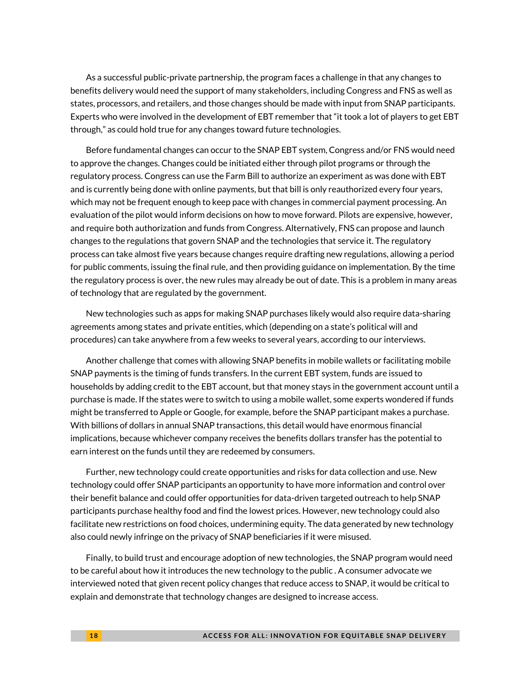As a successful public-private partnership, the program faces a challenge in that any changes to benefits delivery would need the support of many stakeholders, including Congress and FNS as well as states, processors, and retailers, and those changes should be made with input from SNAP participants. Experts who were involved in the development of EBT remember that "it took a lot of players to get EBT through," as could hold true for any changes toward future technologies.

Before fundamental changes can occur to the SNAP EBT system, Congress and/or FNS would need to approve the changes. Changes could be initiated either through pilot programs or through the regulatory process. Congress can use the Farm Bill to authorize an experiment as was done with EBT and is currently being done with online payments, but that bill is only reauthorized every four years, which may not be frequent enough to keep pace with changes in commercial payment processing. An evaluation of the pilot would inform decisions on how to move forward. Pilots are expensive, however, and require both authorization and funds from Congress. Alternatively, FNS can propose and launch changes to the regulations that govern SNAP and the technologies that service it. The regulatory process can take almost five years because changes require drafting new regulations, allowing a period for public comments, issuing the final rule, and then providing guidance on implementation. By the time the regulatory process is over, the new rules may already be out of date. This is a problem in many areas of technology that are regulated by the government.

New technologies such as apps for making SNAP purchases likely would also require data-sharing agreements among states and private entities, which (depending on a state's political will and procedures) can take anywhere from a few weeks to several years, according to our interviews.

Another challenge that comes with allowing SNAP benefits in mobile wallets or facilitating mobile SNAP payments is the timing of funds transfers. In the current EBT system, funds are issued to households by adding credit to the EBT account, but that money stays in the government account until a purchase is made. If the states were to switch to using a mobile wallet, some experts wondered if funds might be transferred to Apple or Google, for example, before the SNAP participant makes a purchase. With billions of dollars in annual SNAP transactions, this detail would have enormous financial implications, because whichever company receives the benefits dollars transfer has the potential to earn interest on the funds until they are redeemed by consumers.

Further, new technology could create opportunities and risks for data collection and use. New technology could offer SNAP participants an opportunity to have more information and control over their benefit balance and could offer opportunities for data-driven targeted outreach to help SNAP participants purchase healthy food and find the lowest prices. However, new technology could also facilitate new restrictions on food choices, undermining equity. The data generated by new technology also could newly infringe on the privacy of SNAP beneficiaries if it were misused.

Finally, to build trust and encourage adoption of new technologies, the SNAP program would need to be careful about how it introduces the new technology to the public . A consumer advocate we interviewed noted that given recent policy changes that reduce access to SNAP, it would be critical to explain and demonstrate that technology changes are designed to increase access.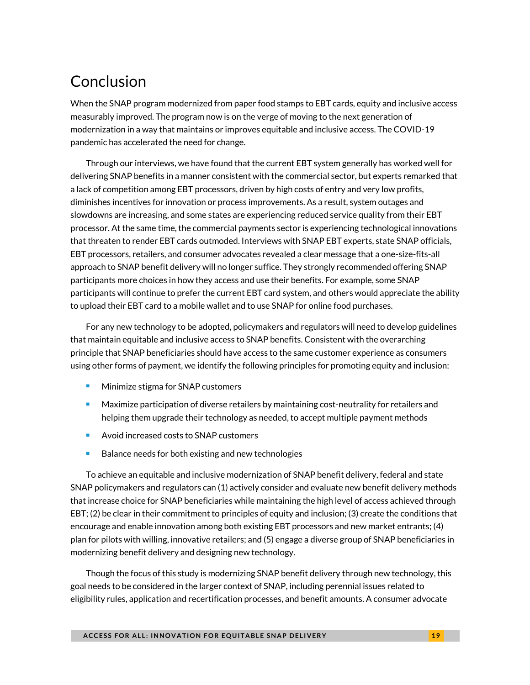# Conclusion

When the SNAP program modernized from paper food stamps to EBT cards, equity and inclusive access measurably improved. The program now is on the verge of moving to the next generation of modernization in a way that maintains or improves equitable and inclusive access. The COVID-19 pandemic has accelerated the need for change.

Through our interviews, we have found that the current EBT system generally has worked well for delivering SNAP benefits in a manner consistent with the commercial sector, but experts remarked that a lack of competition among EBT processors, driven by high costs of entry and very low profits, diminishes incentives for innovation or process improvements. As a result, system outages and slowdowns are increasing, and some states are experiencing reduced service quality from their EBT processor. At the same time, the commercial payments sector is experiencing technological innovations that threaten to render EBT cards outmoded. Interviews with SNAP EBT experts, state SNAP officials, EBT processors, retailers, and consumer advocates revealed a clear message that a one-size-fits-all approach to SNAP benefit delivery will no longer suffice. They strongly recommended offering SNAP participants more choices in how they access and use their benefits. For example, some SNAP participants will continue to prefer the current EBT card system, and others would appreciate the ability to upload their EBT card to a mobile wallet and to use SNAP for online food purchases.

For any new technology to be adopted, policymakers and regulators will need to develop guidelines that maintain equitable and inclusive access to SNAP benefits. Consistent with the overarching principle that SNAP beneficiaries should have access to the same customer experience as consumers using other forms of payment, we identify the following principles for promoting equity and inclusion:

- Minimize stigma for SNAP customers
- Maximize participation of diverse retailers by maintaining cost-neutrality for retailers and helping them upgrade their technology as needed, to accept multiple payment methods
- <sup>◼</sup> Avoid increased costs to SNAP customers
- Balance needs for both existing and new technologies

To achieve an equitable and inclusive modernization of SNAP benefit delivery, federal and state SNAP policymakers and regulators can (1) actively consider and evaluate new benefit delivery methods that increase choice for SNAP beneficiaries while maintaining the high level of access achieved through EBT; (2) be clear in their commitment to principles of equity and inclusion; (3) create the conditions that encourage and enable innovation among both existing EBT processors and new market entrants; (4) plan for pilots with willing, innovative retailers; and (5) engage a diverse group of SNAP beneficiaries in modernizing benefit delivery and designing new technology.

Though the focus of this study is modernizing SNAP benefit delivery through new technology, this goal needs to be considered in the larger context of SNAP, including perennial issues related to eligibility rules, application and recertification processes, and benefit amounts. A consumer advocate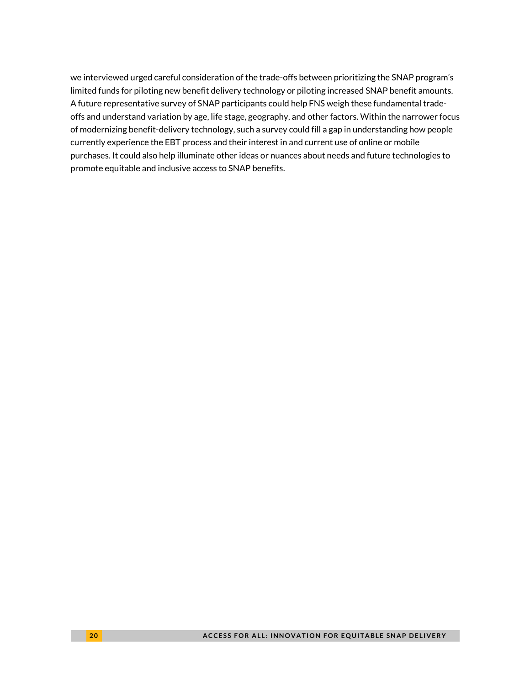we interviewed urged careful consideration of the trade-offs between prioritizing the SNAP program's limited funds for piloting new benefit delivery technology or piloting increased SNAP benefit amounts. A future representative survey of SNAP participants could help FNS weigh these fundamental tradeoffs and understand variation by age, life stage, geography, and other factors. Within the narrower focus of modernizing benefit-delivery technology, such a survey could fill a gap in understanding how people currently experience the EBT process and their interest in and current use of online or mobile purchases. It could also help illuminate other ideas or nuances about needs and future technologies to promote equitable and inclusive access to SNAP benefits.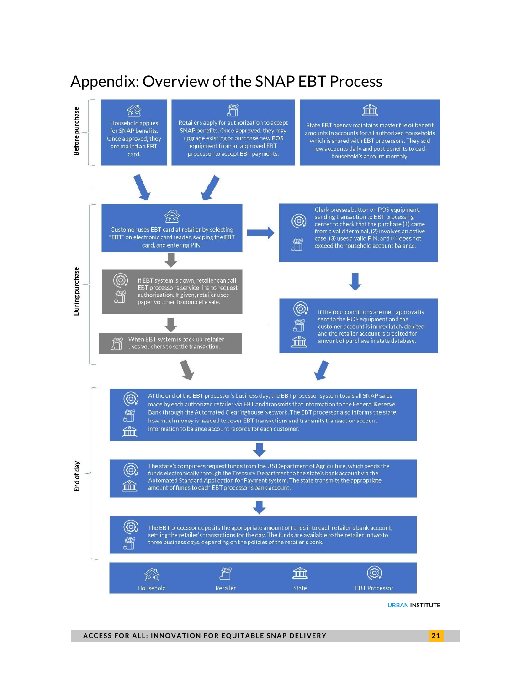# Appendix: Overview of the SNAP EBT Process

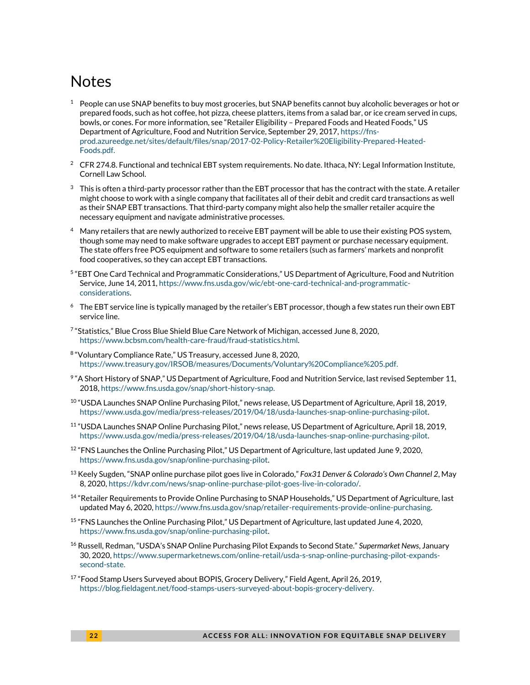# **Notes**

- $1$  People can use SNAP benefits to buy most groceries, but SNAP benefits cannot buy alcoholic beverages or hot or prepared foods, such as hot coffee, hot pizza, cheese platters, items from a salad bar, or ice cream served in cups, bowls, or cones. For more information, see "Retailer Eligibility – Prepared Foods and Heated Foods," US Department of Agriculture, Food and Nutrition Service, September 29, 2017, [https://fns](https://fns-prod.azureedge.net/sites/default/files/snap/2017-02-Policy-Retailer%20Eligibility-Prepared-Heated-Foods.pdf)[prod.azureedge.net/sites/default/files/snap/2017-02-Policy-Retailer%20Eligibility-Prepared-Heated-](https://fns-prod.azureedge.net/sites/default/files/snap/2017-02-Policy-Retailer%20Eligibility-Prepared-Heated-Foods.pdf)[Foods.pdf.](https://fns-prod.azureedge.net/sites/default/files/snap/2017-02-Policy-Retailer%20Eligibility-Prepared-Heated-Foods.pdf)
- <sup>2</sup> CFR 274.8. Functional and technical EBT system requirements. No date. Ithaca, NY: Legal Information Institute, Cornell Law School.
- $3$  This is often a third-party processor rather than the EBT processor that has the contract with the state. A retailer might choose to work with a single company that facilitates all of their debit and credit card transactions as well as their SNAP EBT transactions. That third-party company might also help the smaller retailer acquire the necessary equipment and navigate administrative processes.
- <sup>4</sup> Many retailers that are newly authorized to receive EBT payment will be able to use their existing POS system, though some may need to make software upgrades to accept EBT payment or purchase necessary equipment. The state offers free POS equipment and software to some retailers (such as farmers' markets and nonprofit food cooperatives, so they can accept EBT transactions.
- 5 "EBT One Card Technical and Programmatic Considerations," US Department of Agriculture, Food and Nutrition Service, June 14, 2011[, https://www.fns.usda.gov/wic/ebt-one-card-technical-and-programmatic](https://www.fns.usda.gov/wic/ebt-one-card-technical-and-programmatic-considerations)[considerations.](https://www.fns.usda.gov/wic/ebt-one-card-technical-and-programmatic-considerations)
- <sup>6</sup> The EBT service line is typically managed by the retailer's EBT processor, though a few states run their own EBT service line.
- 7 "Statistics," Blue Cross Blue Shield Blue Care Network of Michigan, accessed June 8, 2020, [https://www.bcbsm.com/health-care-fraud/fraud-statistics.html.](https://www.bcbsm.com/health-care-fraud/fraud-statistics.html)
- <sup>8</sup> "Voluntary Compliance Rate," US Treasury, accessed June 8, 2020, [https://www.treasury.gov/IRSOB/measures/Documents/Voluntary%20Compliance%205.pdf.](https://www.treasury.gov/IRSOB/measures/Documents/Voluntary%20Compliance%205.pdf)
- 9 "A Short History of SNAP," US Department of Agriculture, Food and Nutrition Service, last revised September 11, 2018[, https://www.fns.usda.gov/snap/short-history-snap.](https://www.fns.usda.gov/snap/short-history-snap)
- $^{10}$  "USDA Launches SNAP Online Purchasing Pilot," news release, US Department of Agriculture, April 18, 2019, [https://www.usda.gov/media/press-releases/2019/04/18/usda-launches-snap-online-purchasing-pilot.](https://www.usda.gov/media/press-releases/2019/04/18/usda-launches-snap-online-purchasing-pilot)
- <sup>11</sup> "USDA Launches SNAP Online Purchasing Pilot," news release, US Department of Agriculture, April 18, 2019, [https://www.usda.gov/media/press-releases/2019/04/18/usda-launches-snap-online-purchasing-pilot.](https://www.usda.gov/media/press-releases/2019/04/18/usda-launches-snap-online-purchasing-pilot)
- <sup>12</sup> "FNS Launches the Online Purchasing Pilot," US Department of Agriculture, last updated June 9, 2020, [https://www.fns.usda.gov/snap/online-purchasing-pilot.](https://www.fns.usda.gov/snap/online-purchasing-pilot)
- <sup>13</sup> Keely Sugden, "SNAP online purchase pilot goes live in Colorado," *Fox31 Denver & Colorado's Own Channel 2*, May 8, 2020[, https://kdvr.com/news/snap-online-purchase-pilot-goes-live-in-colorado/.](https://kdvr.com/news/snap-online-purchase-pilot-goes-live-in-colorado/)
- <sup>14</sup> "Retailer Requirements to Provide Online Purchasing to SNAP Households," US Department of Agriculture, last updated May 6, 2020[, https://www.fns.usda.gov/snap/retailer-requirements-provide-online-purchasing.](https://www.fns.usda.gov/snap/retailer-requirements-provide-online-purchasing)
- <sup>15</sup> "FNS Launches the Online Purchasing Pilot," US Department of Agriculture, last updated June 4, 2020, [https://www.fns.usda.gov/snap/online-purchasing-pilot.](https://www.fns.usda.gov/snap/online-purchasing-pilot)
- <sup>16</sup> Russell, Redman, "USDA's SNAP Online Purchasing Pilot Expands to Second State." *Supermarket News*, January 30, 2020, [https://www.supermarketnews.com/online-retail/usda-s-snap-online-purchasing-pilot-expands](https://www.supermarketnews.com/online-retail/usda-s-snap-online-purchasing-pilot-expands-second-state)[second-state.](https://www.supermarketnews.com/online-retail/usda-s-snap-online-purchasing-pilot-expands-second-state)
- <sup>17</sup> "Food Stamp Users Surveyed about BOPIS, Grocery Delivery," Field Agent, April 26, 2019, [https://blog.fieldagent.net/food-stamps-users-surveyed-about-bopis-grocery-delivery.](https://blog.fieldagent.net/food-stamps-users-surveyed-about-bopis-grocery-delivery)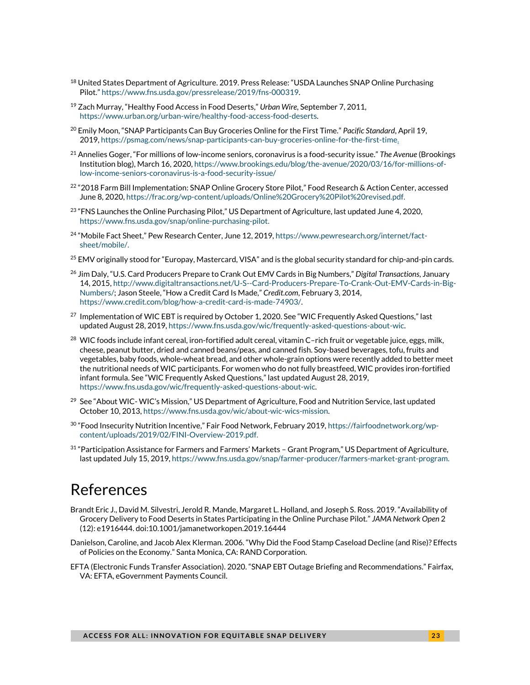- <sup>18</sup> United States Department of Agriculture. 2019. Press Release: "USDA Launches SNAP Online Purchasing Pilot." [https://www.fns.usda.gov/pressrelease/2019/fns-000319.](https://www.fns.usda.gov/pressrelease/2019/fns-000319)
- <sup>19</sup> Zach Murray, "Healthy Food Access in Food Deserts," *Urban Wire,* September 7, 2011, [https://www.urban.org/urban-wire/healthy-food-access-food-deserts.](https://www.urban.org/urban-wire/healthy-food-access-food-deserts)
- <sup>20</sup> Emily Moon, "SNAP Participants Can Buy Groceries Online for the First Time." *Pacific Standard*, April 19, 2019, [https://psmag.com/news/snap-participants-can-buy-groceries-online-for-the-first-time.](https://psmag.com/news/snap-participants-can-buy-groceries-online-for-the-first-time)
- <sup>21</sup> Annelies Goger, "For millions of low-income seniors, coronavirus is a food-security issue." *The Avenue* (Brookings Institution blog), March 16, 2020, [https://www.brookings.edu/blog/the-avenue/2020/03/16/for-millions-of](https://www.brookings.edu/blog/the-avenue/2020/03/16/for-millions-of-low-income-seniors-coronavirus-is-a-food-security-issue/)[low-income-seniors-coronavirus-is-a-food-security-issue/](https://www.brookings.edu/blog/the-avenue/2020/03/16/for-millions-of-low-income-seniors-coronavirus-is-a-food-security-issue/)
- $^{22}$  "2018 Farm Bill Implementation: SNAP Online Grocery Store Pilot," Food Research & Action Center, accessed June 8, 2020, [https://frac.org/wp-content/uploads/Online%20Grocery%20Pilot%20revised.pdf.](https://frac.org/wp-content/uploads/Online%20Grocery%20Pilot%20revised.pdf)
- $^{23}$  "FNS Launches the Online Purchasing Pilot," US Department of Agriculture, last updated June 4, 2020, [https://www.fns.usda.gov/snap/online-purchasing-pilot.](https://www.fns.usda.gov/snap/online-purchasing-pilot)
- <sup>24</sup> "Mobile Fact Sheet," Pew Research Center, June 12, 2019, [https://www.pewresearch.org/internet/fact](https://www.pewresearch.org/internet/fact-sheet/mobile/)[sheet/mobile/.](https://www.pewresearch.org/internet/fact-sheet/mobile/)
- $^{25}$  EMV originally stood for "Europay, Mastercard, VISA" and is the global security standard for chip-and-pin cards.
- <sup>26</sup> Jim Daly, "U.S. Card Producers Prepare to Crank Out EMV Cards in Big Numbers," *Digital Transactions*, January 14, 2015[, http://www.digitaltransactions.net/U-S--Card-Producers-Prepare-To-Crank-Out-EMV-Cards-in-Big-](http://www.digitaltransactions.net/U-S--Card-Producers-Prepare-To-Crank-Out-EMV-Cards-in-Big-Numbers/)[Numbers/](http://www.digitaltransactions.net/U-S--Card-Producers-Prepare-To-Crank-Out-EMV-Cards-in-Big-Numbers/); Jason Steele, "How a Credit Card Is Made," *Credit.com*, February 3, 2014, [https://www.credit.com/blog/how-a-credit-card-is-made-74903/.](https://www.credit.com/blog/how-a-credit-card-is-made-74903/)
- <sup>27</sup> Implementation of WIC EBT is required by October 1, 2020. See "WIC Frequently Asked Questions," last updated August 28, 2019[, https://www.fns.usda.gov/wic/frequently-asked-questions-about-wic.](https://www.fns.usda.gov/wic/frequently-asked-questions-about-wic)
- <sup>28</sup> WIC foods include infant cereal, iron-fortified adult cereal, vitamin C-rich fruit or vegetable juice, eggs, milk, cheese, peanut butter, dried and canned beans/peas, and canned fish. Soy-based beverages, tofu, fruits and vegetables, baby foods, whole-wheat bread, and other whole-grain options were recently added to better meet the nutritional needs of WIC participants. For women who do not fully breastfeed, WIC provides iron-fortified infant formula. See "WIC Frequently Asked Questions," last updated August 28, 2019, [https://www.fns.usda.gov/wic/frequently-asked-questions-about-wic.](https://www.fns.usda.gov/wic/frequently-asked-questions-about-wic)
- <sup>29</sup> See "About WIC- WIC's Mission," US Department of Agriculture, Food and Nutrition Service, last updated October 10, 2013[, https://www.fns.usda.gov/wic/about-wic-wics-mission.](https://www.fns.usda.gov/wic/about-wic-wics-mission)
- $^{30}$  "Food Insecurity Nutrition Incentive," Fair Food Network, February 2019, [https://fairfoodnetwork.org/wp](https://fairfoodnetwork.org/wp-content/uploads/2019/02/FINI-Overview-2019.pdf)[content/uploads/2019/02/FINI-Overview-2019.pdf.](https://fairfoodnetwork.org/wp-content/uploads/2019/02/FINI-Overview-2019.pdf)
- $31$  "Participation Assistance for Farmers and Farmers' Markets Grant Program," US Department of Agriculture, last updated July 15, 2019[, https://www.fns.usda.gov/snap/farmer-producer/farmers-market-grant-program.](https://www.fns.usda.gov/snap/farmer-producer/farmers-market-grant-program)

# References

- Brandt Eric J., David M. Silvestri, Jerold R. Mande, Margaret L. Holland, and Joseph S. Ross. 2019. "Availability of Grocery Delivery to Food Deserts in States Participating in the Online Purchase Pilot." *JAMA Network Open* 2 (12): e1916444. doi:10.1001/jamanetworkopen.2019.16444
- Danielson, Caroline, and Jacob Alex Klerman. 2006. "Why Did the Food Stamp Caseload Decline (and Rise)? Effects of Policies on the Economy." Santa Monica, CA: RAND Corporation.
- EFTA (Electronic Funds Transfer Association). 2020. "SNAP EBT Outage Briefing and Recommendations." Fairfax, VA: EFTA, eGovernment Payments Council.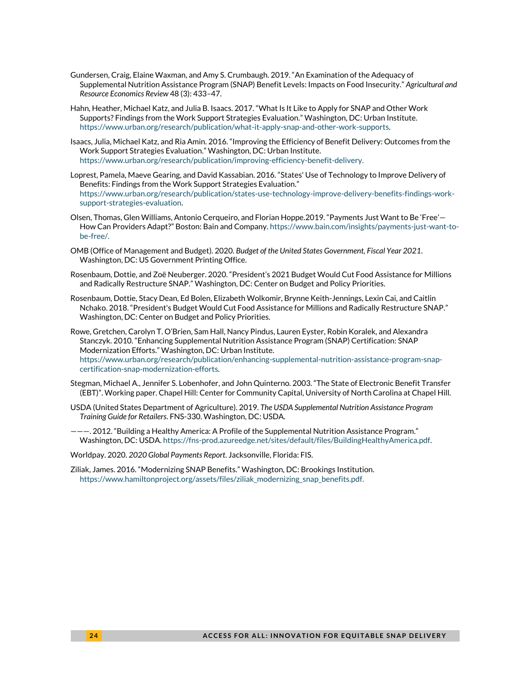- Gundersen, Craig, Elaine Waxman, and Amy S. Crumbaugh. 2019. "An Examination of the Adequacy of Supplemental Nutrition Assistance Program (SNAP) Benefit Levels: Impacts on Food Insecurity." *Agricultural and Resource Economics Review* 48 (3): 433–47.
- Hahn, Heather, Michael Katz, and Julia B. Isaacs. 2017. "What Is It Like to Apply for SNAP and Other Work Supports? Findings from the Work Support Strategies Evaluation." Washington, DC: Urban Institute. [https://www.urban.org/research/publication/what-it-apply-snap-and-other-work-supports.](https://www.urban.org/research/publication/what-it-apply-snap-and-other-work-supports)
- Isaacs, Julia, Michael Katz, and Ria Amin. 2016. "Improving the Efficiency of Benefit Delivery: Outcomes from the Work Support Strategies Evaluation." Washington, DC: Urban Institute. [https://www.urban.org/research/publication/improving-efficiency-benefit-delivery.](https://www.urban.org/research/publication/improving-efficiency-benefit-delivery)
- Loprest, Pamela, Maeve Gearing, and David Kassabian. 2016. "States' Use of Technology to Improve Delivery of Benefits: Findings from the Work Support Strategies Evaluation." [https://www.urban.org/research/publication/states-use-technology-improve-delivery-benefits-findings-work](https://www.urban.org/research/publication/states-use-technology-improve-delivery-benefits-findings-work-support-strategies-evaluation)[support-strategies-evaluation.](https://www.urban.org/research/publication/states-use-technology-improve-delivery-benefits-findings-work-support-strategies-evaluation)
- Olsen, Thomas, Glen Williams, Antonio Cerqueiro, and Florian Hoppe.2019. "Payments Just Want to Be 'Free'— How Can Providers Adapt?" Boston: Bain and Company[. https://www.bain.com/insights/payments-just-want-to](https://www.bain.com/insights/payments-just-want-to-be-free/)[be-free/.](https://www.bain.com/insights/payments-just-want-to-be-free/)
- OMB (Office of Management and Budget). 2020. *Budget of the United States Government, Fiscal Year 2021*. Washington, DC: US Government Printing Office.
- Rosenbaum, Dottie, and Zoë Neuberger. 2020. "President's 2021 Budget Would Cut Food Assistance for Millions and Radically Restructure SNAP." Washington, DC: Center on Budget and Policy Priorities.
- Rosenbaum, Dottie, Stacy Dean, Ed Bolen, Elizabeth Wolkomir, Brynne Keith-Jennings, Lexin Cai, and Caitlin Nchako. 2018. "President's Budget Would Cut Food Assistance for Millions and Radically Restructure SNAP." Washington, DC: Center on Budget and Policy Priorities.

Rowe, Gretchen, Carolyn T. O'Brien, Sam Hall, Nancy Pindus, Lauren Eyster, Robin Koralek, and Alexandra Stanczyk. 2010. "Enhancing Supplemental Nutrition Assistance Program (SNAP) Certification: SNAP Modernization Efforts." Washington, DC: Urban Institute. [https://www.urban.org/research/publication/enhancing-supplemental-nutrition-assistance-program-snap](https://www.urban.org/research/publication/enhancing-supplemental-nutrition-assistance-program-snap-certification-snap-modernization-efforts)[certification-snap-modernization-efforts.](https://www.urban.org/research/publication/enhancing-supplemental-nutrition-assistance-program-snap-certification-snap-modernization-efforts)

- Stegman, Michael A., Jennifer S. Lobenhofer, and John Quinterno. 2003. "The State of Electronic Benefit Transfer (EBT)". Working paper. Chapel Hill: Center for Community Capital, University of North Carolina at Chapel Hill.
- USDA (United States Department of Agriculture). 2019. *The USDA Supplemental Nutrition Assistance Program Training Guide for Retailers*. FNS-330. Washington, DC: USDA.
- ———. 2012. "Building a Healthy America: A Profile of the Supplemental Nutrition Assistance Program." Washington, DC: USDA. [https://fns-prod.azureedge.net/sites/default/files/BuildingHealthyAmerica.pdf.](https://fns-prod.azureedge.net/sites/default/files/BuildingHealthyAmerica.pdf)

Worldpay. 2020. *2020 Global Payments Report*. Jacksonville, Florida: FIS.

Ziliak, James. 2016. "Modernizing SNAP Benefits." Washington, DC: Brookings Institution. [https://www.hamiltonproject.org/assets/files/ziliak\\_modernizing\\_snap\\_benefits.pdf.](https://www.hamiltonproject.org/assets/files/ziliak_modernizing_snap_benefits.pdf)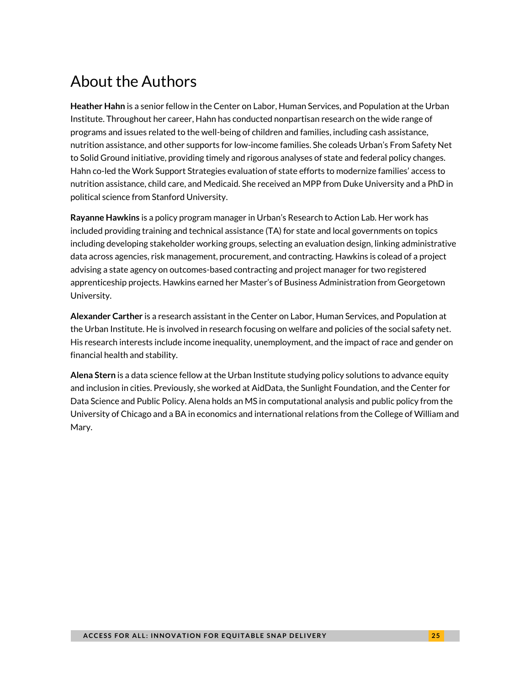# About the Authors

**Heather Hahn** is a senior fellow in the Center on Labor, Human Services, and Population at the Urban Institute. Throughout her career, Hahn has conducted nonpartisan research on the wide range of programs and issues related to the well-being of children and families, including cash assistance, nutrition assistance, and other supports for low-income families. She coleads Urban's From Safety Net to Solid Ground initiative, providing timely and rigorous analyses of state and federal policy changes. Hahn co-led the Work Support Strategies evaluation of state efforts to modernize families' access to nutrition assistance, child care, and Medicaid. She received an MPP from Duke University and a PhD in political science from Stanford University.

**Rayanne Hawkins** is a policy program manager in Urban's Research to Action Lab. Her work has included providing training and technical assistance (TA) for state and local governments on topics including developing stakeholder working groups, selecting an evaluation design, linking administrative data across agencies, risk management, procurement, and contracting. Hawkins is colead of a project advising a state agency on outcomes-based contracting and project manager for two registered apprenticeship projects. Hawkins earned her Master's of Business Administration from Georgetown University.

**Alexander Carther** is a research assistant in the Center on Labor, Human Services, and Population at the Urban Institute. He is involved in research focusing on welfare and policies of the social safety net. His research interests include income inequality, unemployment, and the impact of race and gender on financial health and stability.

**Alena Stern** is a data science fellow at the Urban Institute studying policy solutions to advance equity and inclusion in cities. Previously, she worked at AidData, the Sunlight Foundation, and the Center for Data Science and Public Policy. Alena holds an MS in computational analysis and public policy from the University of Chicago and a BA in economics and international relations from the College of William and Mary.